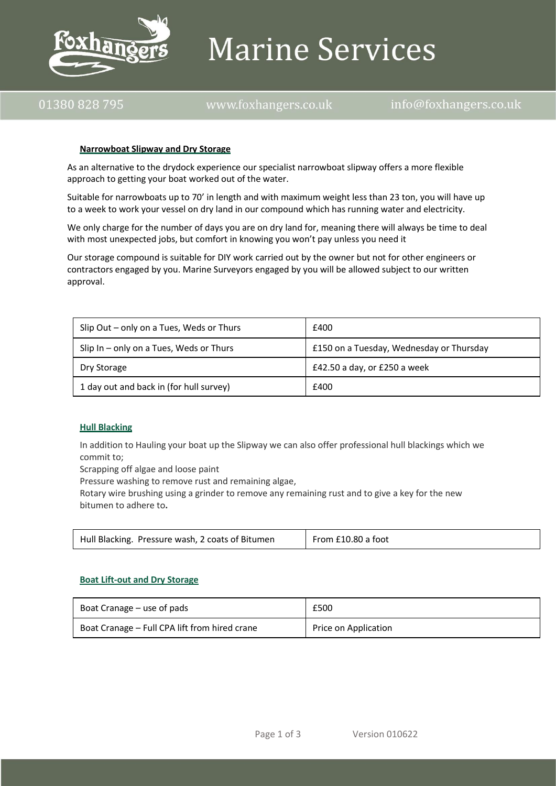

# **Marine Services**

01380 828 795

www.foxhangers.co.uk

info@foxhangers.co.uk

#### **Narrowboat Slipway and Dry Storage**

As an alternative to the drydock experience our specialist narrowboat slipway offers a more flexible approach to getting your boat worked out of the water.

Suitable for narrowboats up to 70' in length and with maximum weight less than 23 ton, you will have up to a week to work your vessel on dry land in our compound which has running water and electricity.

We only charge for the number of days you are on dry land for, meaning there will always be time to deal with most unexpected jobs, but comfort in knowing you won't pay unless you need it

Our storage compound is suitable for DIY work carried out by the owner but not for other engineers or contractors engaged by you. Marine Surveyors engaged by you will be allowed subject to our written approval.

| Slip Out - only on a Tues, Weds or Thurs | £400                                     |
|------------------------------------------|------------------------------------------|
| Slip In - only on a Tues, Weds or Thurs  | £150 on a Tuesday, Wednesday or Thursday |
| Dry Storage                              | £42.50 a day, or £250 a week             |
| 1 day out and back in (for hull survey)  | £400                                     |

## **Hull Blacking**

In addition to Hauling your boat up the Slipway we can also offer professional hull blackings which we commit to;

Scrapping off algae and loose paint

Pressure washing to remove rust and remaining algae,

Rotary wire brushing using a grinder to remove any remaining rust and to give a key for the new bitumen to adhere to**.**

| Hull Blacking. Pressure wash, 2 coats of Bitumen | From £10.80 a foot |
|--------------------------------------------------|--------------------|
|                                                  |                    |

## **Boat Lift-out and Dry Storage**

| Boat Cranage – use of pads                    | £500                 |
|-----------------------------------------------|----------------------|
| Boat Cranage - Full CPA lift from hired crane | Price on Application |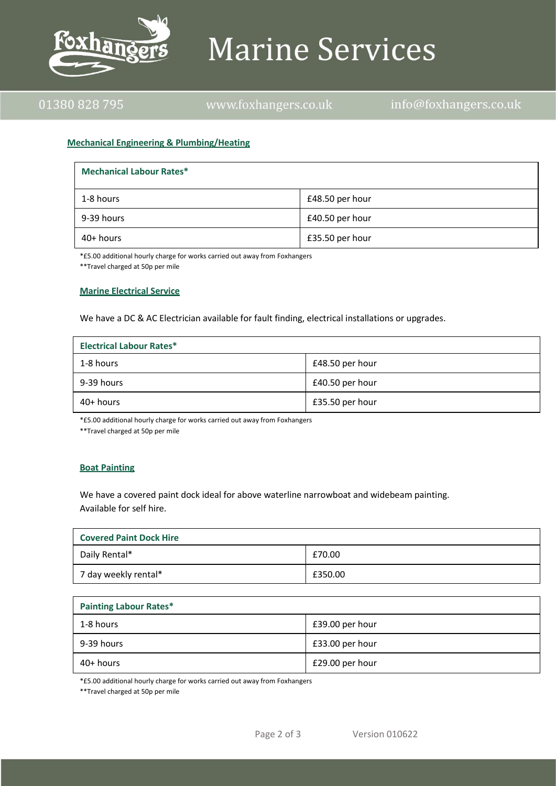

# **Marine Services**

# 01380 828 795

www.foxhangers.co.uk

info@foxhangers.co.uk

## **Mechanical Engineering & Plumbing/Heating**

| <b>Mechanical Labour Rates*</b> |                 |
|---------------------------------|-----------------|
| 1-8 hours                       | £48.50 per hour |
| 9-39 hours                      | £40.50 per hour |
| $40+$ hours                     | £35.50 per hour |

\*£5.00 additional hourly charge for works carried out away from Foxhangers

\*\*Travel charged at 50p per mile

#### **Marine Electrical Service**

#### We have a DC & AC Electrician available for fault finding, electrical installations or upgrades.

| <b>Electrical Labour Rates*</b> |                 |
|---------------------------------|-----------------|
| 1-8 hours                       | £48.50 per hour |
| 9-39 hours                      | £40.50 per hour |
| 40+ hours                       | £35.50 per hour |

\*£5.00 additional hourly charge for works carried out away from Foxhangers

\*\*Travel charged at 50p per mile

## **Boat Painting**

We have a covered paint dock ideal for above waterline narrowboat and widebeam painting. Available for self hire.

| Covered Paint Dock Hire |         |
|-------------------------|---------|
| Daily Rental*           | £70.00  |
| 7 day weekly rental*    | £350.00 |

| <b>Painting Labour Rates*</b> |                 |
|-------------------------------|-----------------|
| 1-8 hours                     | £39.00 per hour |
| 9-39 hours                    | £33.00 per hour |
| 40+ hours                     | £29.00 per hour |

\*£5.00 additional hourly charge for works carried out away from Foxhangers

\*\*Travel charged at 50p per mile